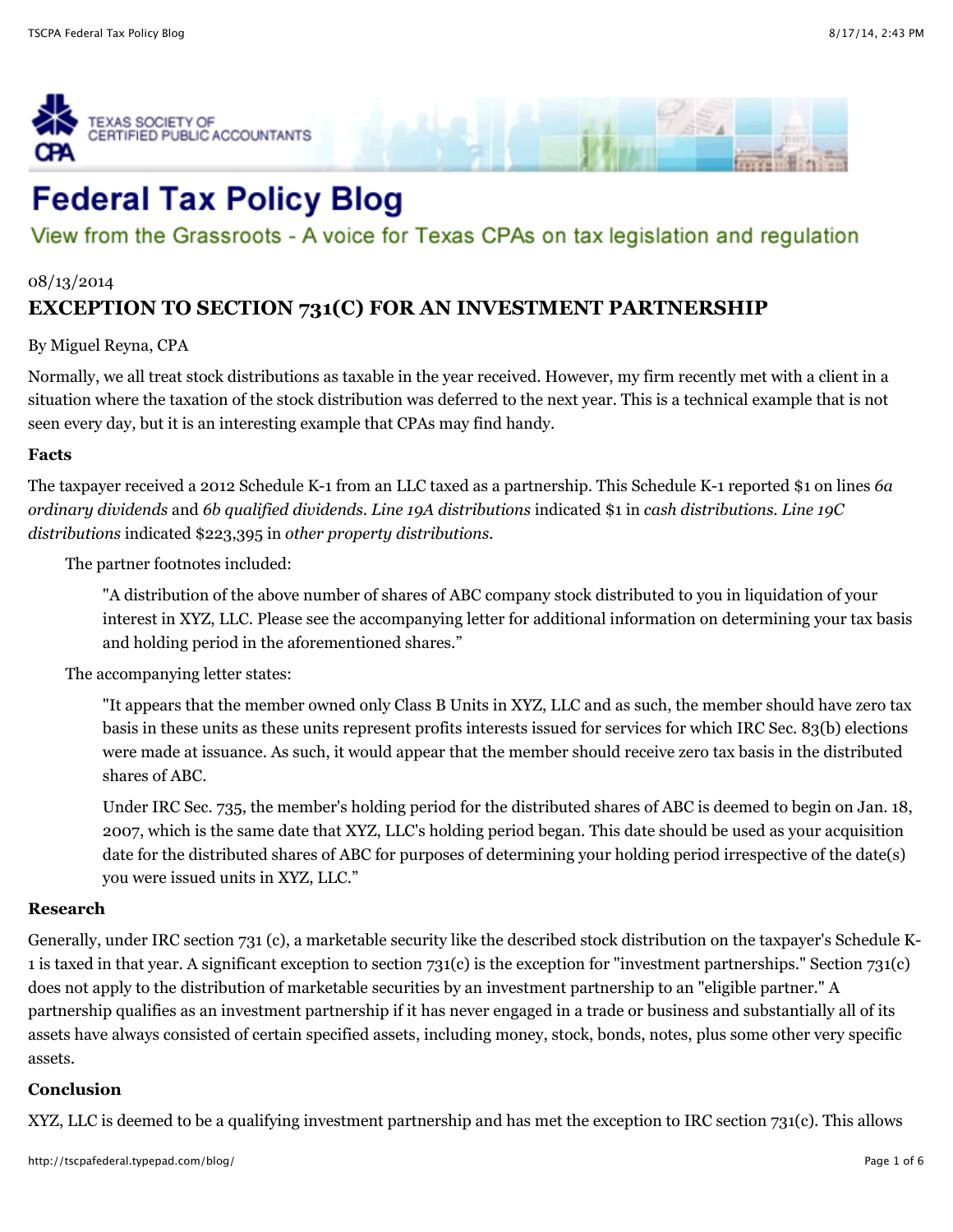



# View from the Grassroots - A voice for Texas CPAs on tax legislation and regulation

#### 08/13/2014

## **[EXCEPTION TO SECTION 731\(C\) FOR AN INVESTMENT PARTNERSHIP](http://tscpafederal.typepad.com/blog/2014/08/exception-to-section-731c-for-an-investment-partnership.html)**

By Miguel Reyna, CPA

Normally, we all treat stock distributions as taxable in the year received. However, my firm recently met with a client in a situation where the taxation of the stock distribution was deferred to the next year. This is a technical example that is not seen every day, but it is an interesting example that CPAs may find handy.

#### **Facts**

The taxpayer received a 2012 Schedule K-1 from an LLC taxed as a partnership. This Schedule K-1 reported \$1 on lines *6a ordinary dividends* and *6b qualified dividends*. *Line 19A distributions* indicated \$1 in *cash distributions*. *Line 19C distributions* indicated \$223,395 in *other property distributions.*

The partner footnotes included:

"A distribution of the above number of shares of ABC company stock distributed to you in liquidation of your interest in XYZ, LLC. Please see the accompanying letter for additional information on determining your tax basis and holding period in the aforementioned shares."

The accompanying letter states:

"It appears that the member owned only Class B Units in XYZ, LLC and as such, the member should have zero tax basis in these units as these units represent profits interests issued for services for which IRC Sec. 83(b) elections were made at issuance. As such, it would appear that the member should receive zero tax basis in the distributed shares of ABC.

Under IRC Sec. 735, the member's holding period for the distributed shares of ABC is deemed to begin on Jan. 18, 2007, which is the same date that XYZ, LLC's holding period began. This date should be used as your acquisition date for the distributed shares of ABC for purposes of determining your holding period irrespective of the date(s) you were issued units in XYZ, LLC."

#### **Research**

Generally, under IRC section 731 (c), a marketable security like the described stock distribution on the taxpayer's Schedule K-1 is taxed in that year. A significant exception to section 731(c) is the exception for "investment partnerships." Section 731(c) does not apply to the distribution of marketable securities by an investment partnership to an "eligible partner." A partnership qualifies as an investment partnership if it has never engaged in a trade or business and substantially all of its assets have always consisted of certain specified assets, including money, stock, bonds, notes, plus some other very specific assets.

### **Conclusion**

XYZ, LLC is deemed to be a qualifying investment partnership and has met the exception to IRC section 731(c). This allows